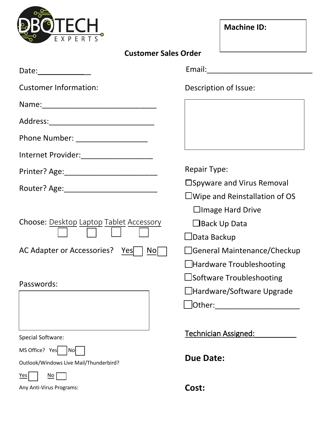

| <b>Machine ID:</b> |  |
|--------------------|--|
|--------------------|--|

| Date: $\qquad \qquad \qquad$                        |                                         |
|-----------------------------------------------------|-----------------------------------------|
| <b>Customer Information:</b>                        | Description of Issue:                   |
|                                                     |                                         |
|                                                     |                                         |
| Phone Number: ____________________                  |                                         |
| Internet Provider:_____________________             |                                         |
|                                                     | <b>Repair Type:</b>                     |
|                                                     | □Spyware and Virus Removal              |
|                                                     | $\square$ Wipe and Reinstallation of OS |
|                                                     | $\Box$ Image Hard Drive                 |
| Choose: Desktop Laptop Tablet Accessory             | $\Box$ Back Up Data                     |
|                                                     | $\Box$ Data Backup                      |
| AC Adapter or Accessories?<br>$\overline{N}$<br>Yes | □General Maintenance/Checkup            |
|                                                     | $\Box$ Hardware Troubleshooting         |
| Passwords:                                          | $\Box$ Software Troubleshooting         |
|                                                     | $\Box$ Hardware/Software Upgrade        |
|                                                     | Other:                                  |
|                                                     |                                         |
| Special Software:                                   | Technician Assigned:                    |
| MS Office? Yes<br>No                                |                                         |
| Outlook/Windows Live Mail/Thunderbird?              | <b>Due Date:</b>                        |
| No<br>Yes                                           |                                         |
| Any Anti-Virus Programs:                            | Cost:                                   |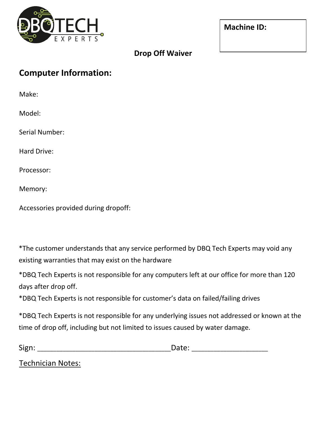

| <b>Machine ID:</b> |  |
|--------------------|--|
|--------------------|--|

|  |  | <b>Drop Off Waiver</b> |
|--|--|------------------------|
|--|--|------------------------|

## **Computer Information:**

Make:

Model:

Serial Number:

Hard Drive:

Processor:

Memory:

Accessories provided during dropoff:

\*The customer understands that any service performed by DBQ Tech Experts may void any existing warranties that may exist on the hardware

\*DBQ Tech Experts is not responsible for any computers left at our office for more than 120 days after drop off.

\*DBQ Tech Experts is not responsible for customer's data on failed/failing drives

\*DBQ Tech Experts is not responsible for any underlying issues not addressed or known at the time of drop off, including but not limited to issues caused by water damage.

| $\ddot{\phantom{1}}$<br>- |  |
|---------------------------|--|
| -                         |  |

Technician Notes: